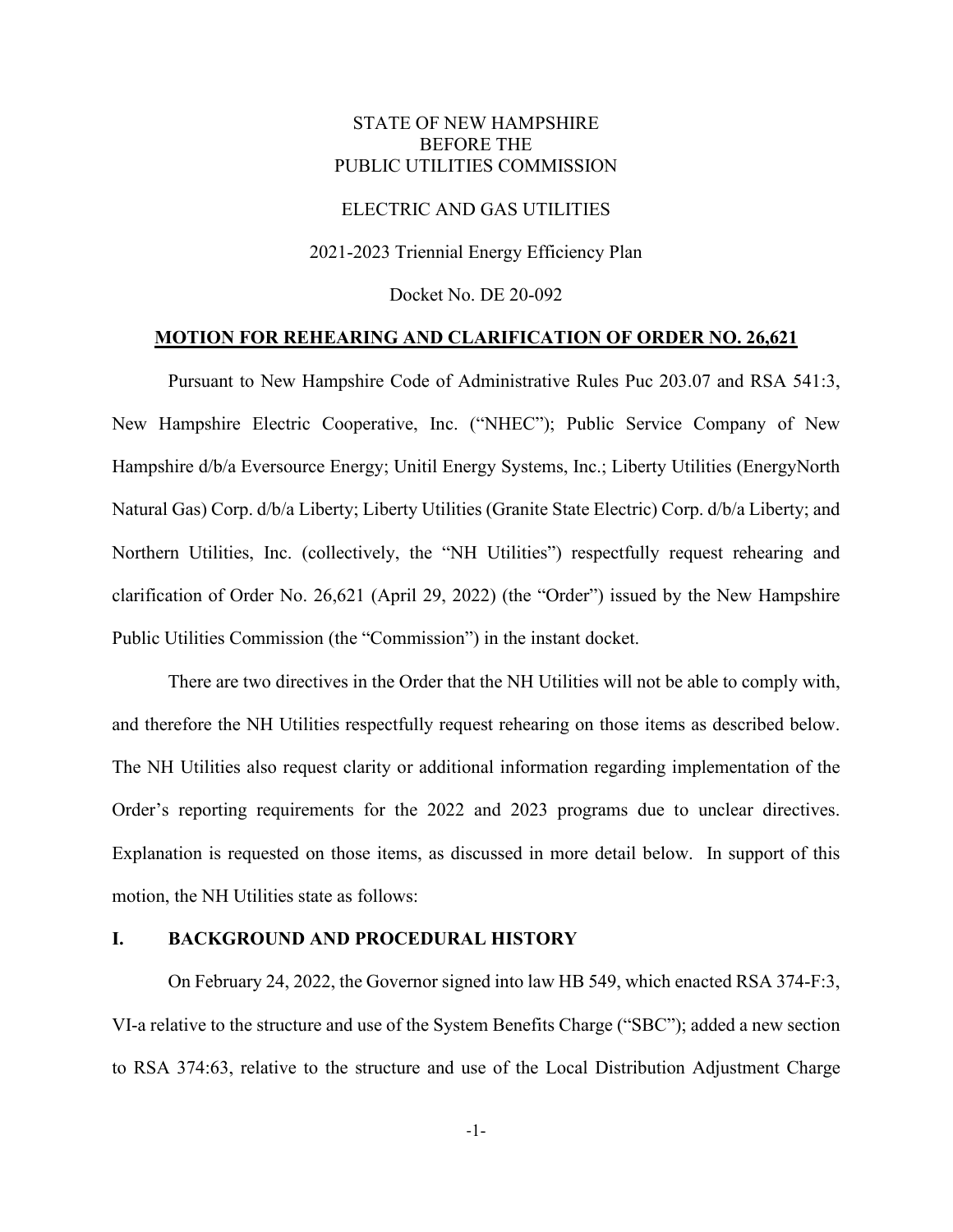## STATE OF NEW HAMPSHIRE BEFORE THE PUBLIC UTILITIES COMMISSION

## ELECTRIC AND GAS UTILITIES

2021-2023 Triennial Energy Efficiency Plan

Docket No. DE 20-092

#### **MOTION FOR REHEARING AND CLARIFICATION OF ORDER NO. 26,621**

Pursuant to New Hampshire Code of Administrative Rules Puc 203.07 and RSA 541:3, New Hampshire Electric Cooperative, Inc. ("NHEC"); Public Service Company of New Hampshire d/b/a Eversource Energy; Unitil Energy Systems, Inc.; Liberty Utilities (EnergyNorth Natural Gas) Corp. d/b/a Liberty; Liberty Utilities (Granite State Electric) Corp. d/b/a Liberty; and Northern Utilities, Inc. (collectively, the "NH Utilities") respectfully request rehearing and clarification of Order No. 26,621 (April 29, 2022) (the "Order") issued by the New Hampshire Public Utilities Commission (the "Commission") in the instant docket.

There are two directives in the Order that the NH Utilities will not be able to comply with, and therefore the NH Utilities respectfully request rehearing on those items as described below. The NH Utilities also request clarity or additional information regarding implementation of the Order's reporting requirements for the 2022 and 2023 programs due to unclear directives. Explanation is requested on those items, as discussed in more detail below. In support of this motion, the NH Utilities state as follows:

### **I. BACKGROUND AND PROCEDURAL HISTORY**

On February 24, 2022, the Governor signed into law HB 549, which enacted RSA 374-F:3, VI-a relative to the structure and use of the System Benefits Charge ("SBC"); added a new section to RSA 374:63, relative to the structure and use of the Local Distribution Adjustment Charge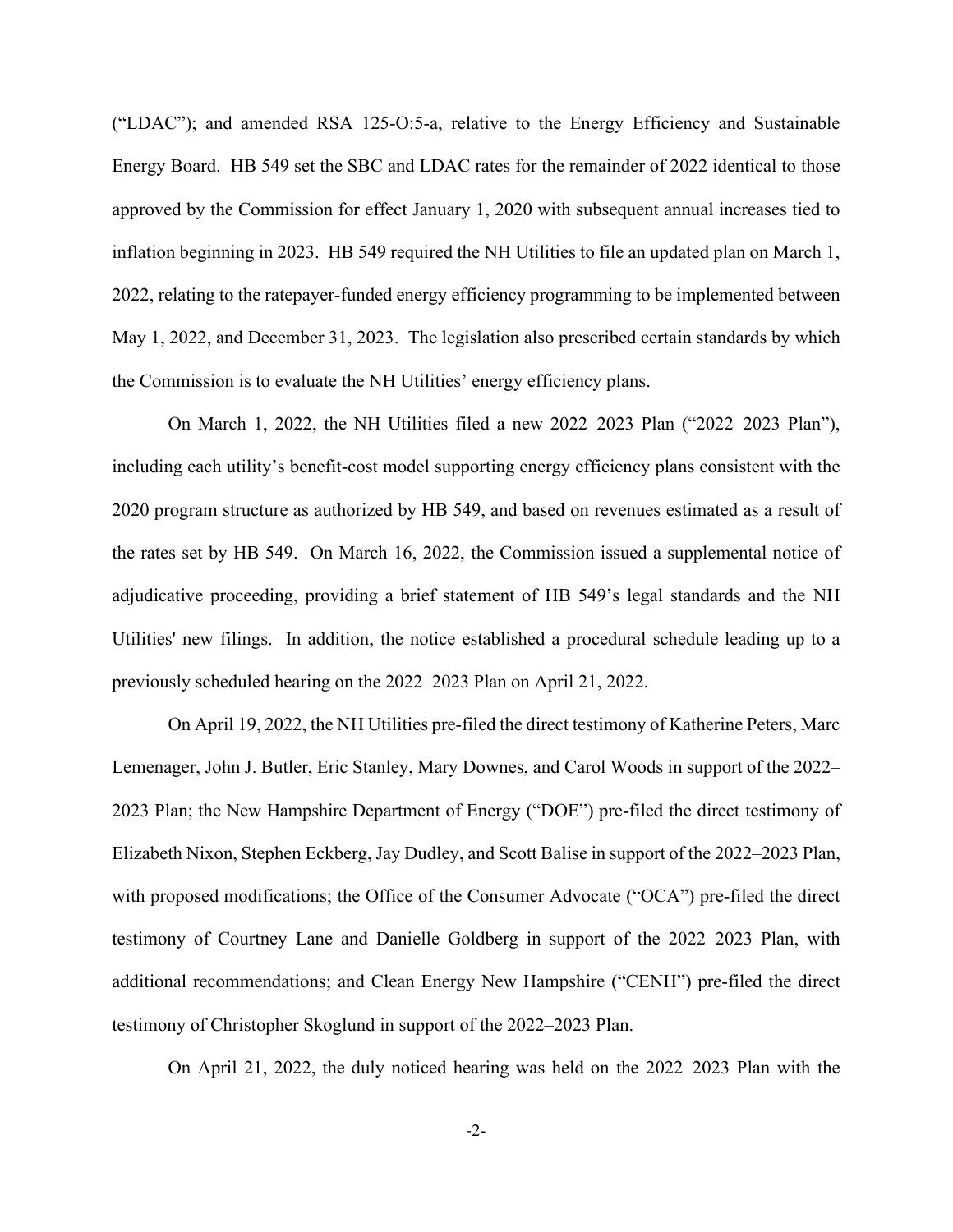("LDAC"); and amended RSA 125-O:5-a, relative to the Energy Efficiency and Sustainable Energy Board. HB 549 set the SBC and LDAC rates for the remainder of 2022 identical to those approved by the Commission for effect January 1, 2020 with subsequent annual increases tied to inflation beginning in 2023. HB 549 required the NH Utilities to file an updated plan on March 1, 2022, relating to the ratepayer-funded energy efficiency programming to be implemented between May 1, 2022, and December 31, 2023. The legislation also prescribed certain standards by which the Commission is to evaluate the NH Utilities' energy efficiency plans.

On March 1, 2022, the NH Utilities filed a new 2022–2023 Plan ("2022–2023 Plan"), including each utility's benefit-cost model supporting energy efficiency plans consistent with the 2020 program structure as authorized by HB 549, and based on revenues estimated as a result of the rates set by HB 549. On March 16, 2022, the Commission issued a supplemental notice of adjudicative proceeding, providing a brief statement of HB 549's legal standards and the NH Utilities' new filings. In addition, the notice established a procedural schedule leading up to a previously scheduled hearing on the 2022–2023 Plan on April 21, 2022.

On April 19, 2022, the NH Utilities pre-filed the direct testimony of Katherine Peters, Marc Lemenager, John J. Butler, Eric Stanley, Mary Downes, and Carol Woods in support of the 2022– 2023 Plan; the New Hampshire Department of Energy ("DOE") pre-filed the direct testimony of Elizabeth Nixon, Stephen Eckberg, Jay Dudley, and Scott Balise in support of the 2022–2023 Plan, with proposed modifications; the Office of the Consumer Advocate ("OCA") pre-filed the direct testimony of Courtney Lane and Danielle Goldberg in support of the 2022–2023 Plan, with additional recommendations; and Clean Energy New Hampshire ("CENH") pre-filed the direct testimony of Christopher Skoglund in support of the 2022–2023 Plan.

On April 21, 2022, the duly noticed hearing was held on the 2022–2023 Plan with the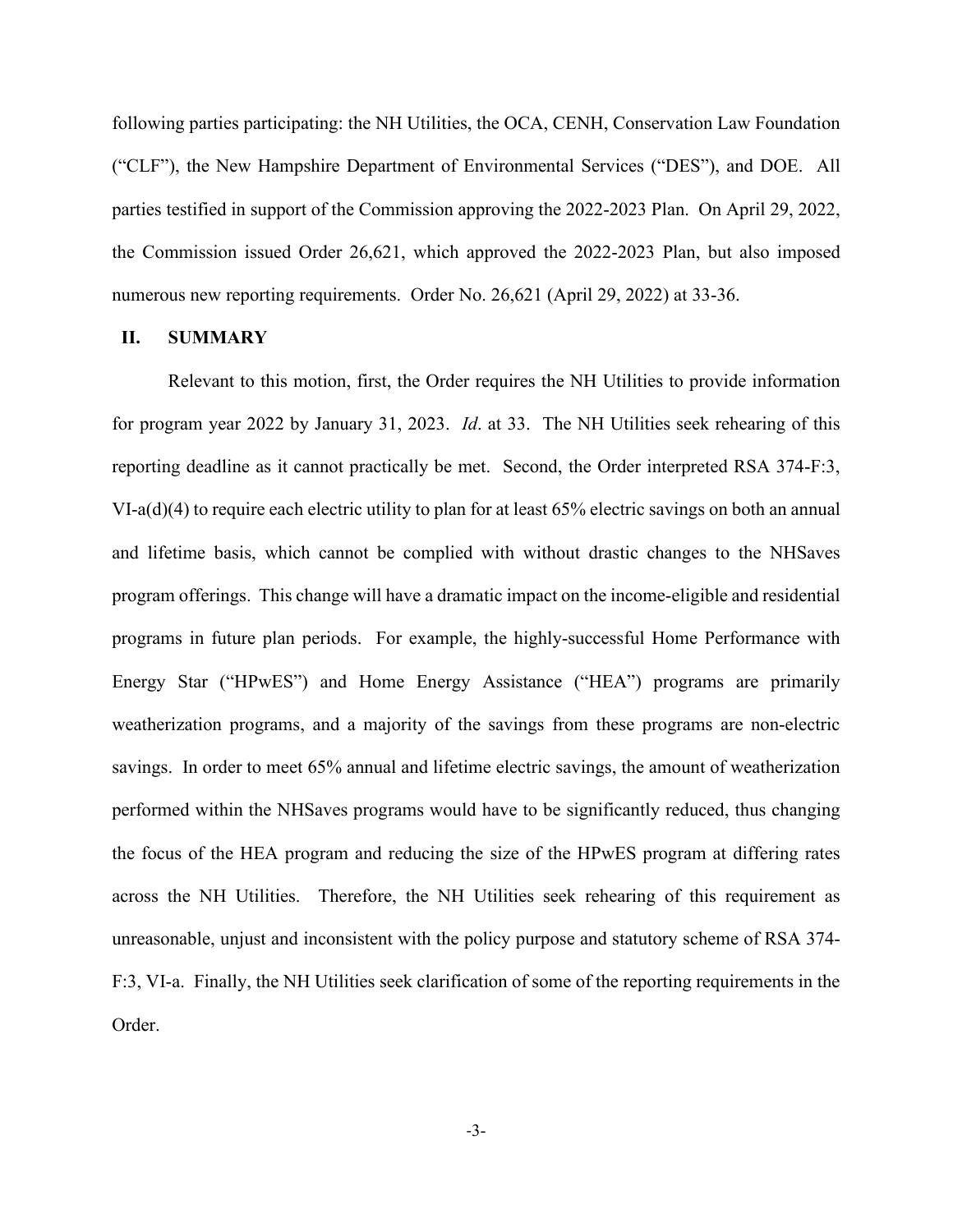following parties participating: the NH Utilities, the OCA, CENH, Conservation Law Foundation ("CLF"), the New Hampshire Department of Environmental Services ("DES"), and DOE. All parties testified in support of the Commission approving the 2022-2023 Plan. On April 29, 2022, the Commission issued Order 26,621, which approved the 2022-2023 Plan, but also imposed numerous new reporting requirements. Order No. 26,621 (April 29, 2022) at 33-36.

### **II. SUMMARY**

Relevant to this motion, first, the Order requires the NH Utilities to provide information for program year 2022 by January 31, 2023. *Id*. at 33. The NH Utilities seek rehearing of this reporting deadline as it cannot practically be met. Second, the Order interpreted RSA 374-F:3, VI-a(d)(4) to require each electric utility to plan for at least 65% electric savings on both an annual and lifetime basis, which cannot be complied with without drastic changes to the NHSaves program offerings. This change will have a dramatic impact on the income-eligible and residential programs in future plan periods. For example, the highly-successful Home Performance with Energy Star ("HPwES") and Home Energy Assistance ("HEA") programs are primarily weatherization programs, and a majority of the savings from these programs are non-electric savings. In order to meet 65% annual and lifetime electric savings, the amount of weatherization performed within the NHSaves programs would have to be significantly reduced, thus changing the focus of the HEA program and reducing the size of the HPwES program at differing rates across the NH Utilities. Therefore, the NH Utilities seek rehearing of this requirement as unreasonable, unjust and inconsistent with the policy purpose and statutory scheme of RSA 374- F:3, VI-a. Finally, the NH Utilities seek clarification of some of the reporting requirements in the Order.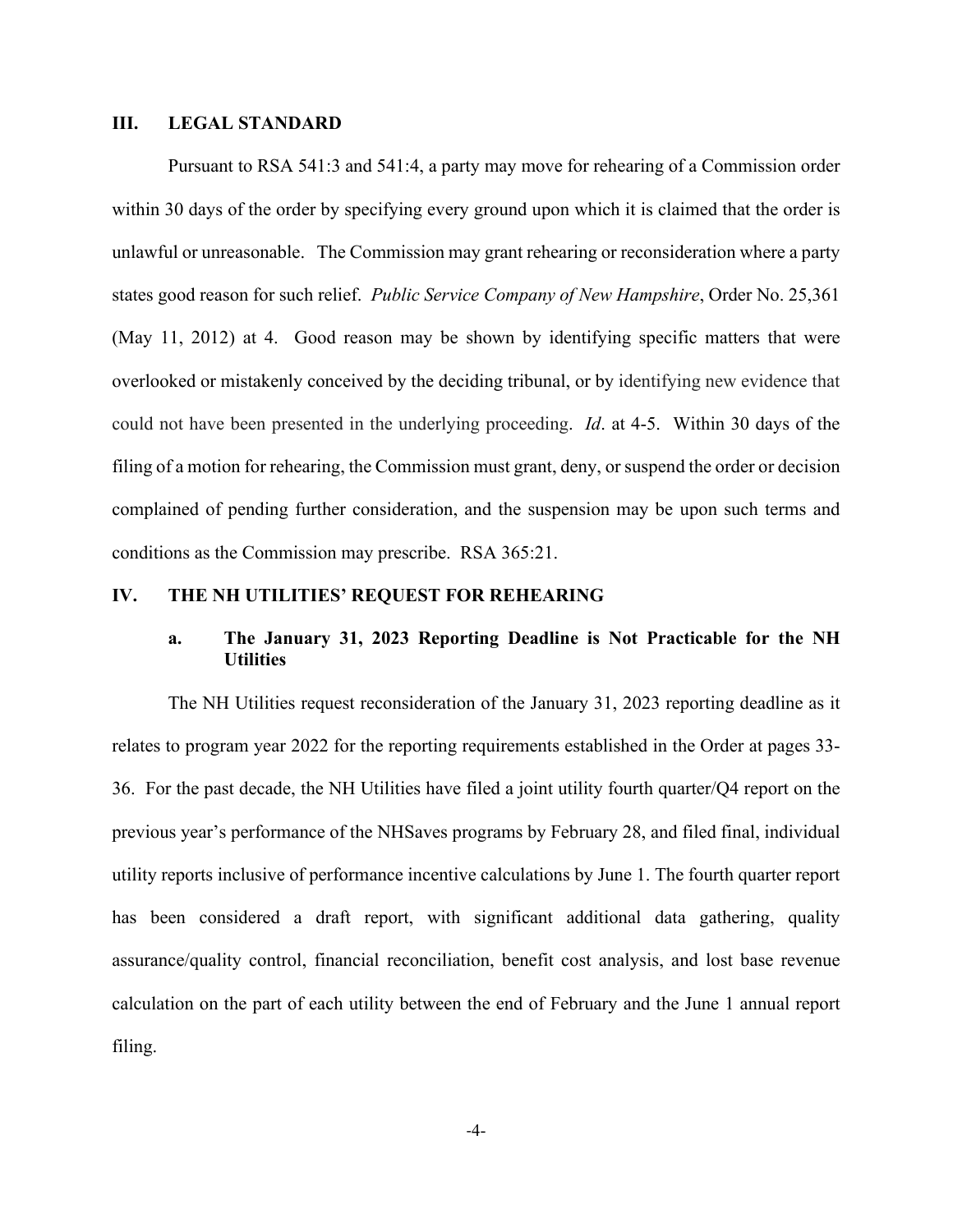### **III. LEGAL STANDARD**

Pursuant to RSA 541:3 and 541:4, a party may move for rehearing of a Commission order within 30 days of the order by specifying every ground upon which it is claimed that the order is unlawful or unreasonable. The Commission may grant rehearing or reconsideration where a party states good reason for such relief. *Public Service Company of New Hampshire*, Order No. 25,361 (May 11, 2012) at 4. Good reason may be shown by identifying specific matters that were overlooked or mistakenly conceived by the deciding tribunal, or by identifying new evidence that could not have been presented in the underlying proceeding. *Id*. at 4-5. Within 30 days of the filing of a motion for rehearing, the Commission must grant, deny, or suspend the order or decision complained of pending further consideration, and the suspension may be upon such terms and conditions as the Commission may prescribe. RSA 365:21.

# **IV. THE NH UTILITIES' REQUEST FOR REHEARING**

## **a. The January 31, 2023 Reporting Deadline is Not Practicable for the NH Utilities**

The NH Utilities request reconsideration of the January 31, 2023 reporting deadline as it relates to program year 2022 for the reporting requirements established in the Order at pages 33- 36. For the past decade, the NH Utilities have filed a joint utility fourth quarter/Q4 report on the previous year's performance of the NHSaves programs by February 28, and filed final, individual utility reports inclusive of performance incentive calculations by June 1. The fourth quarter report has been considered a draft report, with significant additional data gathering, quality assurance/quality control, financial reconciliation, benefit cost analysis, and lost base revenue calculation on the part of each utility between the end of February and the June 1 annual report filing.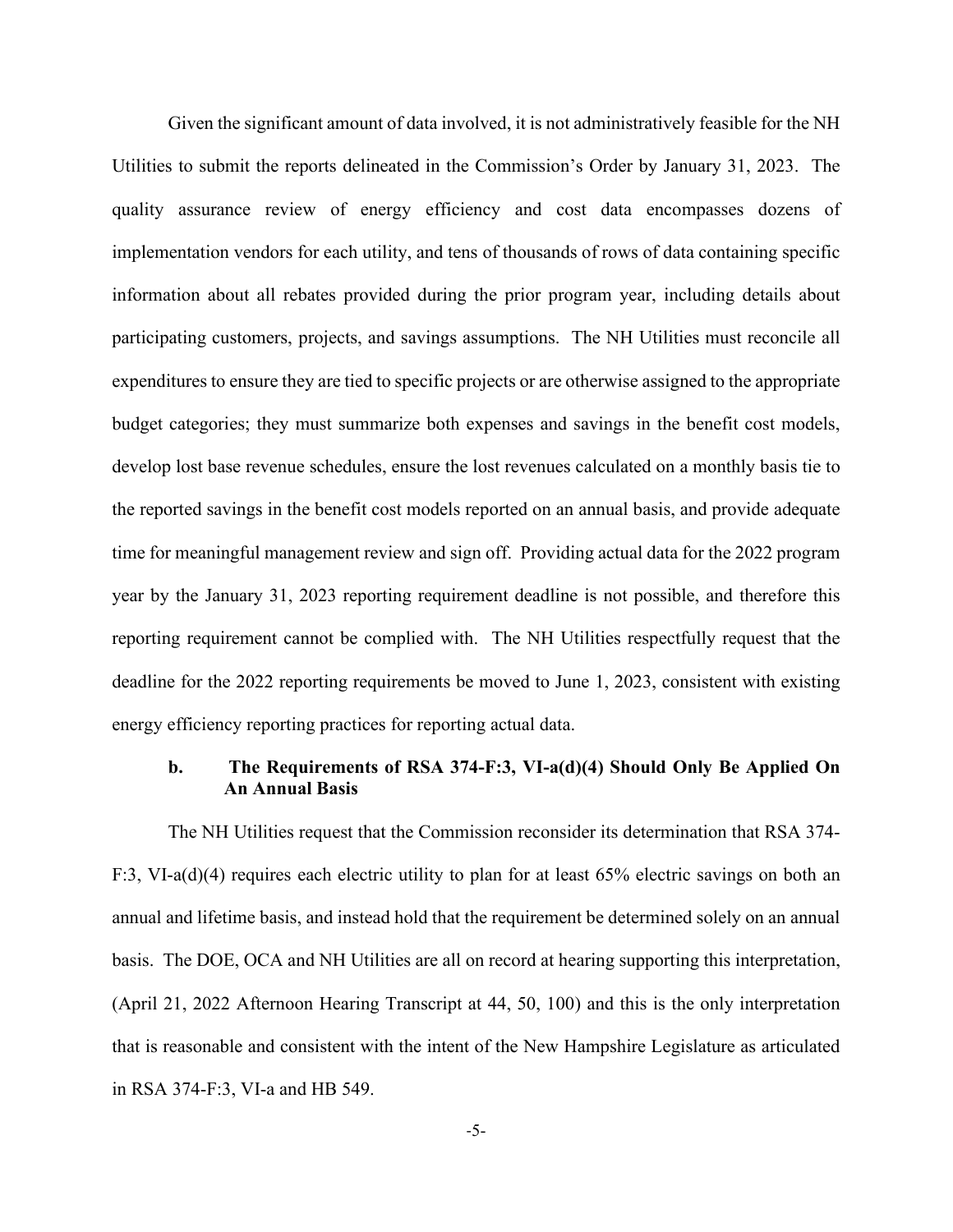Given the significant amount of data involved, it is not administratively feasible for the NH Utilities to submit the reports delineated in the Commission's Order by January 31, 2023. The quality assurance review of energy efficiency and cost data encompasses dozens of implementation vendors for each utility, and tens of thousands of rows of data containing specific information about all rebates provided during the prior program year, including details about participating customers, projects, and savings assumptions. The NH Utilities must reconcile all expenditures to ensure they are tied to specific projects or are otherwise assigned to the appropriate budget categories; they must summarize both expenses and savings in the benefit cost models, develop lost base revenue schedules, ensure the lost revenues calculated on a monthly basis tie to the reported savings in the benefit cost models reported on an annual basis, and provide adequate time for meaningful management review and sign off. Providing actual data for the 2022 program year by the January 31, 2023 reporting requirement deadline is not possible, and therefore this reporting requirement cannot be complied with. The NH Utilities respectfully request that the deadline for the 2022 reporting requirements be moved to June 1, 2023, consistent with existing energy efficiency reporting practices for reporting actual data.

### **b. The Requirements of RSA 374-F:3, VI-a(d)(4) Should Only Be Applied On An Annual Basis**

The NH Utilities request that the Commission reconsider its determination that RSA 374- F:3, VI-a(d)(4) requires each electric utility to plan for at least 65% electric savings on both an annual and lifetime basis, and instead hold that the requirement be determined solely on an annual basis. The DOE, OCA and NH Utilities are all on record at hearing supporting this interpretation, (April 21, 2022 Afternoon Hearing Transcript at 44, 50, 100) and this is the only interpretation that is reasonable and consistent with the intent of the New Hampshire Legislature as articulated in RSA 374-F:3, VI-a and HB 549.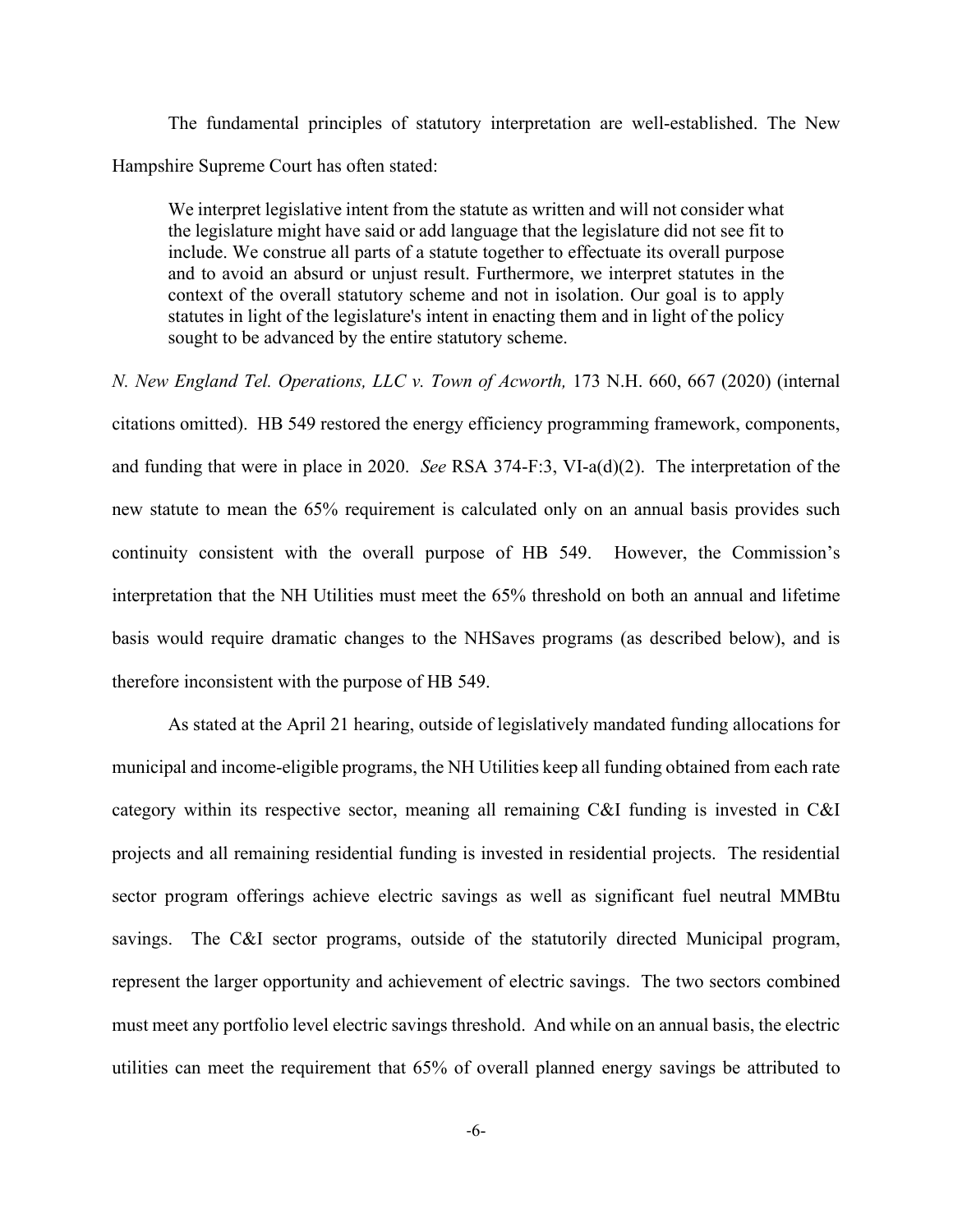The fundamental principles of statutory interpretation are well-established. The New Hampshire Supreme Court has often stated:

We interpret legislative intent from the statute as written and will not consider what the legislature might have said or add language that the legislature did not see fit to include. We construe all parts of a statute together to effectuate its overall purpose and to avoid an absurd or unjust result. Furthermore, we interpret statutes in the context of the overall statutory scheme and not in isolation. Our goal is to apply statutes in light of the legislature's intent in enacting them and in light of the policy sought to be advanced by the entire statutory scheme.

*N. New England Tel. Operations, LLC v. Town of Acworth, 173 N.H. 660, 667 (2020)* (internal citations omitted). HB 549 restored the energy efficiency programming framework, components, and funding that were in place in 2020. *See* RSA 374-F:3, VI-a(d)(2). The interpretation of the new statute to mean the 65% requirement is calculated only on an annual basis provides such continuity consistent with the overall purpose of HB 549. However, the Commission's interpretation that the NH Utilities must meet the 65% threshold on both an annual and lifetime basis would require dramatic changes to the NHSaves programs (as described below), and is therefore inconsistent with the purpose of HB 549.

As stated at the April 21 hearing, outside of legislatively mandated funding allocations for municipal and income-eligible programs, the NH Utilities keep all funding obtained from each rate category within its respective sector, meaning all remaining C&I funding is invested in C&I projects and all remaining residential funding is invested in residential projects. The residential sector program offerings achieve electric savings as well as significant fuel neutral MMBtu savings. The C&I sector programs, outside of the statutorily directed Municipal program, represent the larger opportunity and achievement of electric savings. The two sectors combined must meet any portfolio level electric savings threshold. And while on an annual basis, the electric utilities can meet the requirement that 65% of overall planned energy savings be attributed to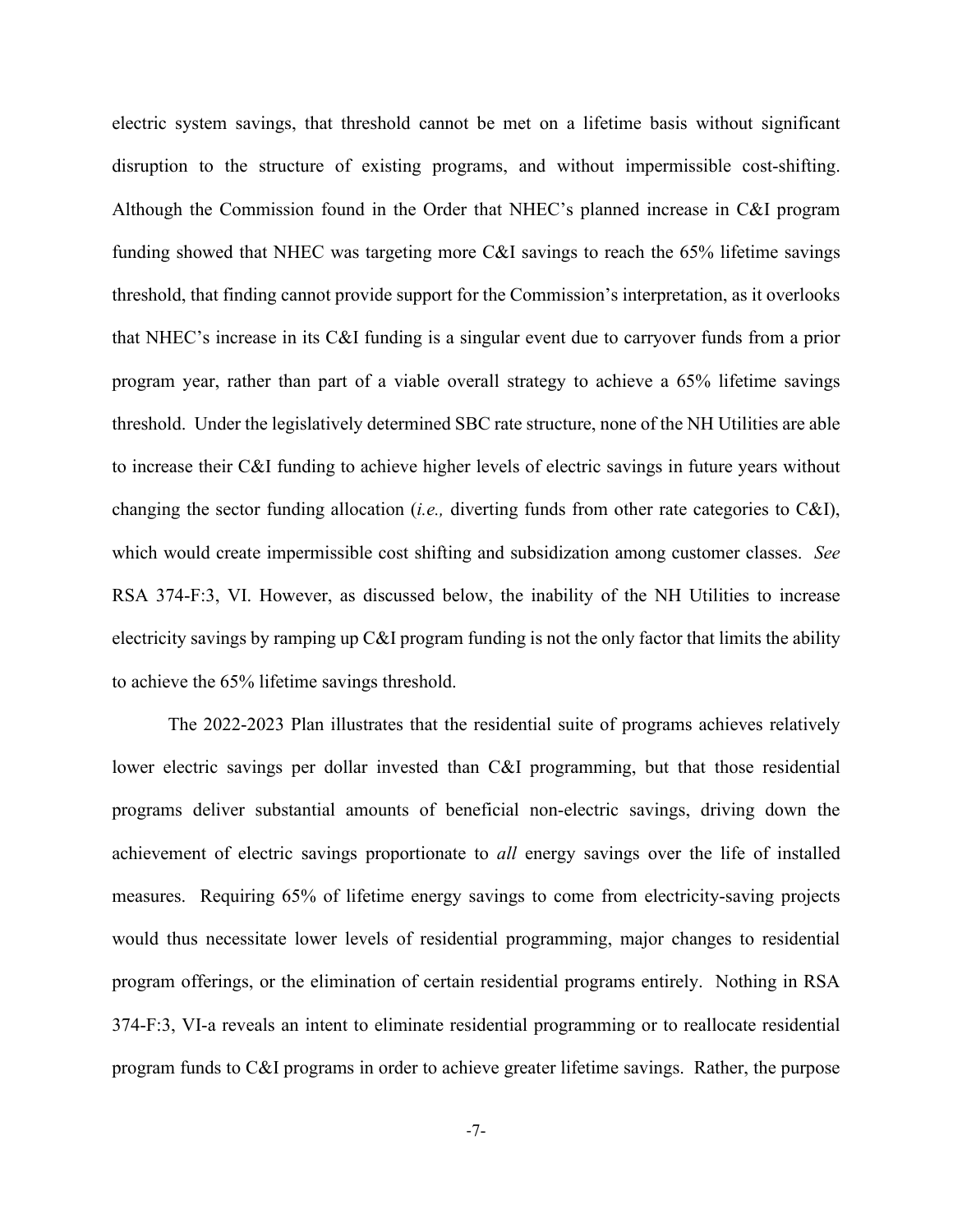electric system savings, that threshold cannot be met on a lifetime basis without significant disruption to the structure of existing programs, and without impermissible cost-shifting. Although the Commission found in the Order that NHEC's planned increase in C&I program funding showed that NHEC was targeting more C&I savings to reach the 65% lifetime savings threshold, that finding cannot provide support for the Commission's interpretation, as it overlooks that NHEC's increase in its C&I funding is a singular event due to carryover funds from a prior program year, rather than part of a viable overall strategy to achieve a 65% lifetime savings threshold. Under the legislatively determined SBC rate structure, none of the NH Utilities are able to increase their C&I funding to achieve higher levels of electric savings in future years without changing the sector funding allocation (*i.e.,* diverting funds from other rate categories to C&I), which would create impermissible cost shifting and subsidization among customer classes. *See*  RSA 374-F:3, VI. However, as discussed below, the inability of the NH Utilities to increase electricity savings by ramping up C&I program funding is not the only factor that limits the ability to achieve the 65% lifetime savings threshold.

The 2022-2023 Plan illustrates that the residential suite of programs achieves relatively lower electric savings per dollar invested than C&I programming, but that those residential programs deliver substantial amounts of beneficial non-electric savings, driving down the achievement of electric savings proportionate to *all* energy savings over the life of installed measures. Requiring 65% of lifetime energy savings to come from electricity-saving projects would thus necessitate lower levels of residential programming, major changes to residential program offerings, or the elimination of certain residential programs entirely. Nothing in RSA 374-F:3, VI-a reveals an intent to eliminate residential programming or to reallocate residential program funds to C&I programs in order to achieve greater lifetime savings. Rather, the purpose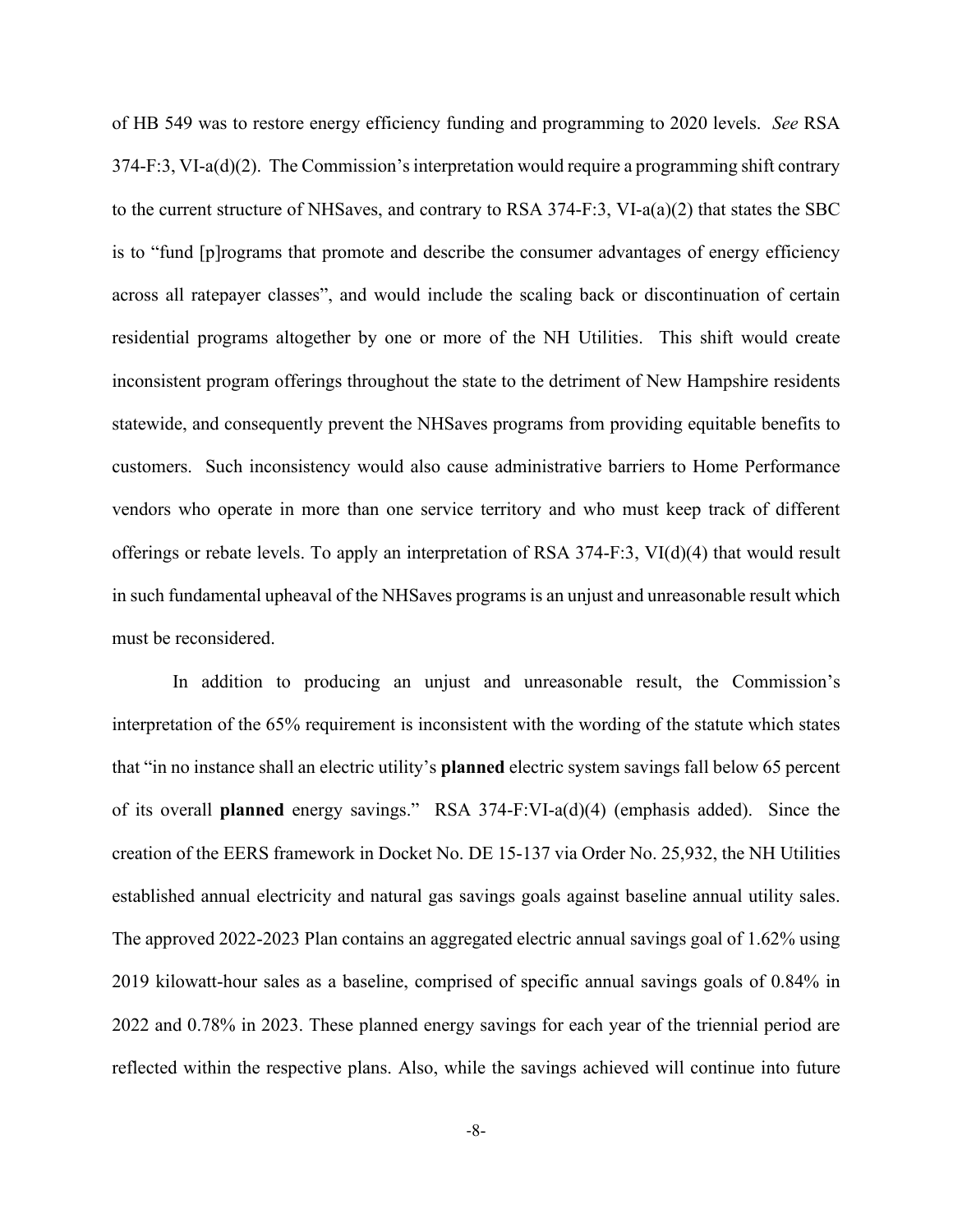of HB 549 was to restore energy efficiency funding and programming to 2020 levels. *See* RSA  $374-F:3$ , VI-a(d)(2). The Commission's interpretation would require a programming shift contrary to the current structure of NHSaves, and contrary to RSA 374-F:3, VI-a(a)(2) that states the SBC is to "fund [p]rograms that promote and describe the consumer advantages of energy efficiency across all ratepayer classes", and would include the scaling back or discontinuation of certain residential programs altogether by one or more of the NH Utilities. This shift would create inconsistent program offerings throughout the state to the detriment of New Hampshire residents statewide, and consequently prevent the NHSaves programs from providing equitable benefits to customers. Such inconsistency would also cause administrative barriers to Home Performance vendors who operate in more than one service territory and who must keep track of different offerings or rebate levels. To apply an interpretation of RSA 374-F:3, VI(d)(4) that would result in such fundamental upheaval of the NHSaves programs is an unjust and unreasonable result which must be reconsidered.

In addition to producing an unjust and unreasonable result, the Commission's interpretation of the 65% requirement is inconsistent with the wording of the statute which states that "in no instance shall an electric utility's **planned** electric system savings fall below 65 percent of its overall **planned** energy savings." RSA 374-F:VI-a(d)(4) (emphasis added). Since the creation of the EERS framework in Docket No. DE 15-137 via Order No. 25,932, the NH Utilities established annual electricity and natural gas savings goals against baseline annual utility sales. The approved 2022-2023 Plan contains an aggregated electric annual savings goal of 1.62% using 2019 kilowatt-hour sales as a baseline, comprised of specific annual savings goals of 0.84% in 2022 and 0.78% in 2023. These planned energy savings for each year of the triennial period are reflected within the respective plans. Also, while the savings achieved will continue into future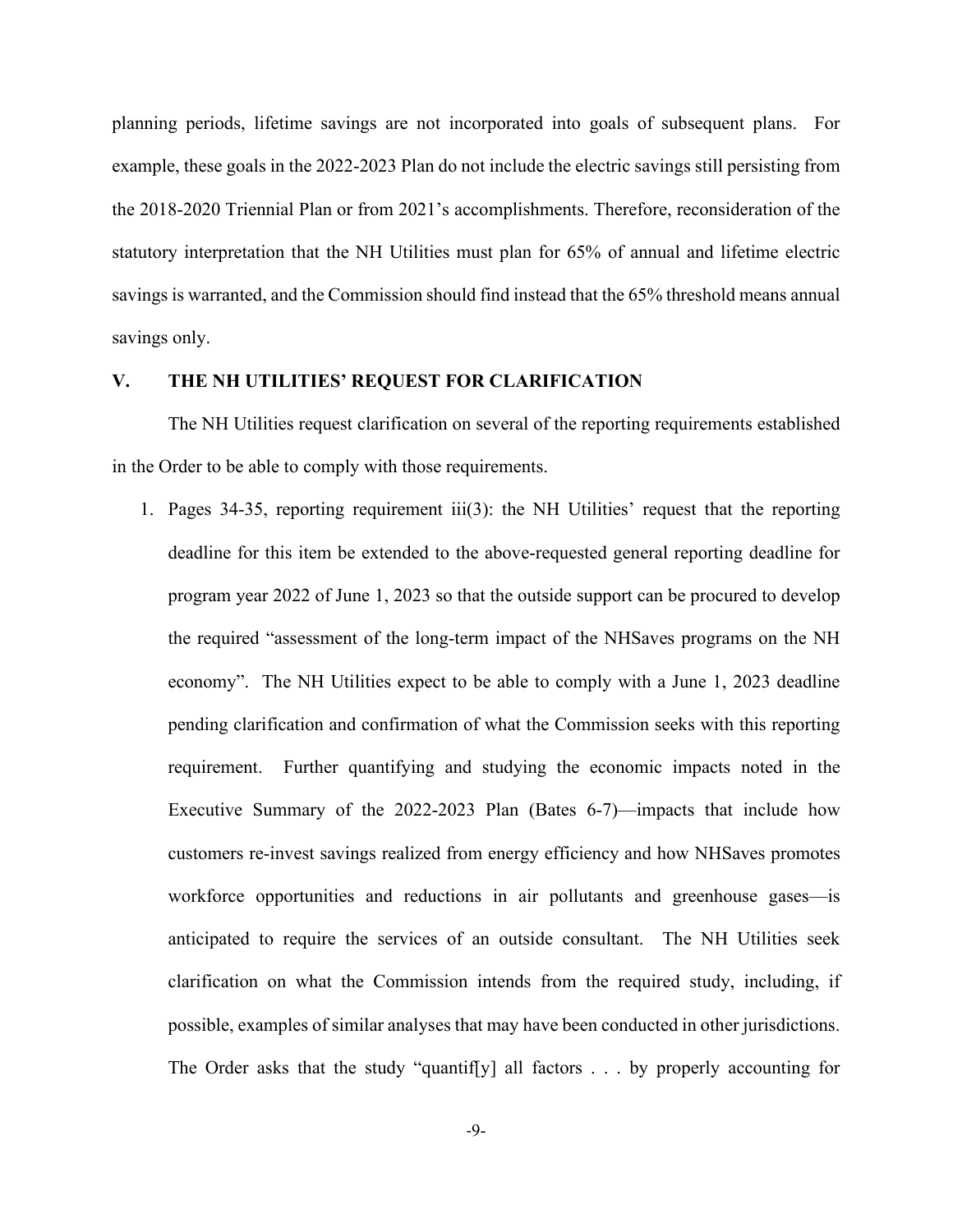planning periods, lifetime savings are not incorporated into goals of subsequent plans. For example, these goals in the 2022-2023 Plan do not include the electric savings still persisting from the 2018-2020 Triennial Plan or from 2021's accomplishments. Therefore, reconsideration of the statutory interpretation that the NH Utilities must plan for 65% of annual and lifetime electric savings is warranted, and the Commission should find instead that the 65% threshold means annual savings only.

## **V. THE NH UTILITIES' REQUEST FOR CLARIFICATION**

The NH Utilities request clarification on several of the reporting requirements established in the Order to be able to comply with those requirements.

1. Pages 34-35, reporting requirement iii(3): the NH Utilities' request that the reporting deadline for this item be extended to the above-requested general reporting deadline for program year 2022 of June 1, 2023 so that the outside support can be procured to develop the required "assessment of the long-term impact of the NHSaves programs on the NH economy". The NH Utilities expect to be able to comply with a June 1, 2023 deadline pending clarification and confirmation of what the Commission seeks with this reporting requirement. Further quantifying and studying the economic impacts noted in the Executive Summary of the 2022-2023 Plan (Bates 6-7)—impacts that include how customers re-invest savings realized from energy efficiency and how NHSaves promotes workforce opportunities and reductions in air pollutants and greenhouse gases—is anticipated to require the services of an outside consultant. The NH Utilities seek clarification on what the Commission intends from the required study, including, if possible, examples of similar analyses that may have been conducted in other jurisdictions. The Order asks that the study "quantif[y] all factors . . . by properly accounting for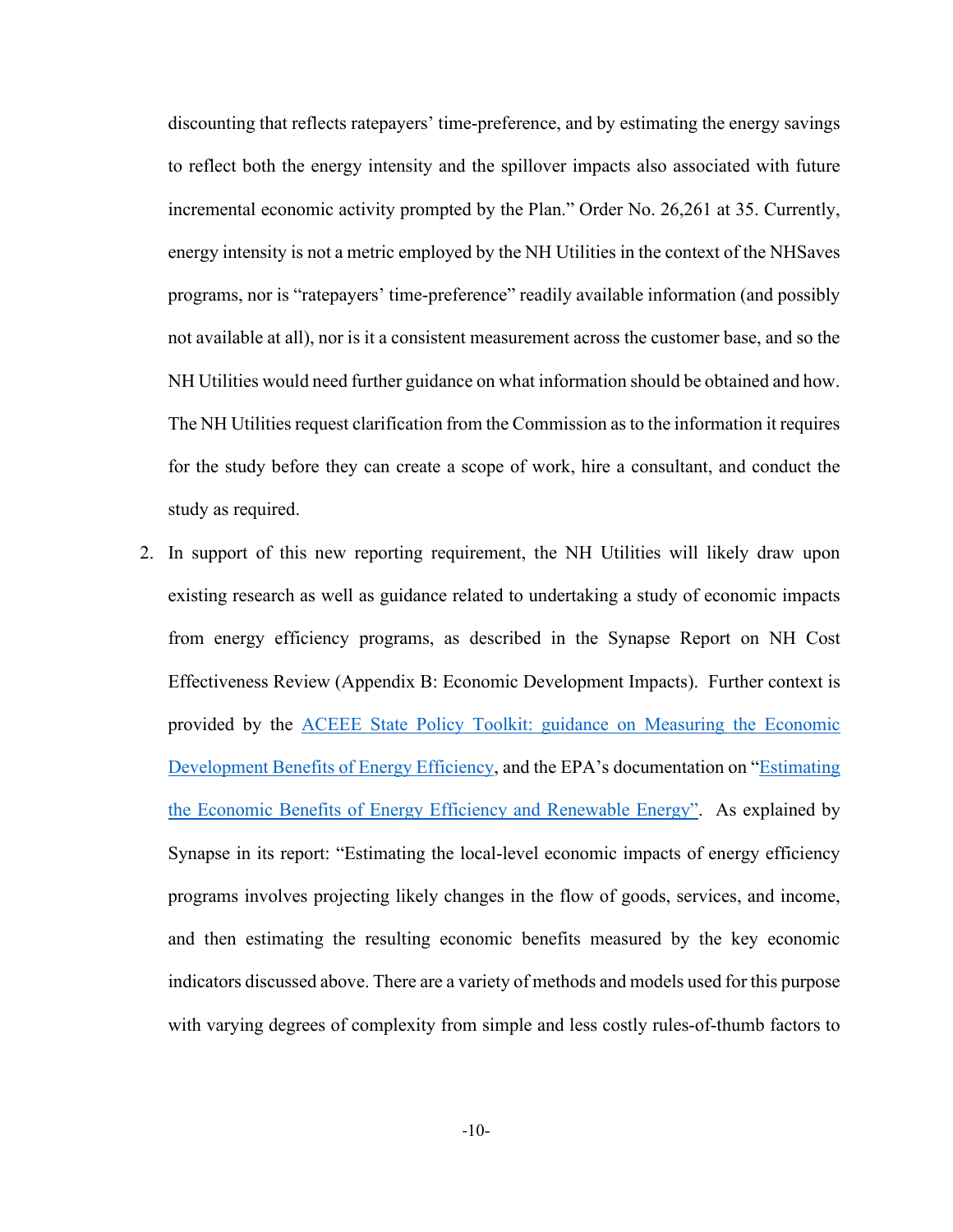discounting that reflects ratepayers' time-preference, and by estimating the energy savings to reflect both the energy intensity and the spillover impacts also associated with future incremental economic activity prompted by the Plan." Order No. 26,261 at 35. Currently, energy intensity is not a metric employed by the NH Utilities in the context of the NHSaves programs, nor is "ratepayers' time-preference" readily available information (and possibly not available at all), nor is it a consistent measurement across the customer base, and so the NH Utilities would need further guidance on what information should be obtained and how. The NH Utilities request clarification from the Commission as to the information it requires for the study before they can create a scope of work, hire a consultant, and conduct the study as required.

2. In support of this new reporting requirement, the NH Utilities will likely draw upon existing research as well as guidance related to undertaking a study of economic impacts from energy efficiency programs, as described in the Synapse Report on NH Cost Effectiveness Review (Appendix B: Economic Development Impacts). Further context is provided by the [ACEEE State Policy Toolkit: guidance on Measuring the Economic](https://www.aceee.org/sites/default/files/Jobs%20Toolkit%203-8-19.pdf)  [Development Benefits of Energy Efficiency,](https://www.aceee.org/sites/default/files/Jobs%20Toolkit%203-8-19.pdf) and the EPA's documentation on ["Estimating](https://www.epa.gov/sites/default/files/2018-07/documents/mbg_2-5_economicbenefits.pdf?msclkid=08da9910d13a11ecbf09a42007b98eb5)  [the Economic Benefits of Energy Efficiency and Renewable Energy".](https://www.epa.gov/sites/default/files/2018-07/documents/mbg_2-5_economicbenefits.pdf?msclkid=08da9910d13a11ecbf09a42007b98eb5) As explained by Synapse in its report: "Estimating the local-level economic impacts of energy efficiency programs involves projecting likely changes in the flow of goods, services, and income, and then estimating the resulting economic benefits measured by the key economic indicators discussed above. There are a variety of methods and models used for this purpose with varying degrees of complexity from simple and less costly rules-of-thumb factors to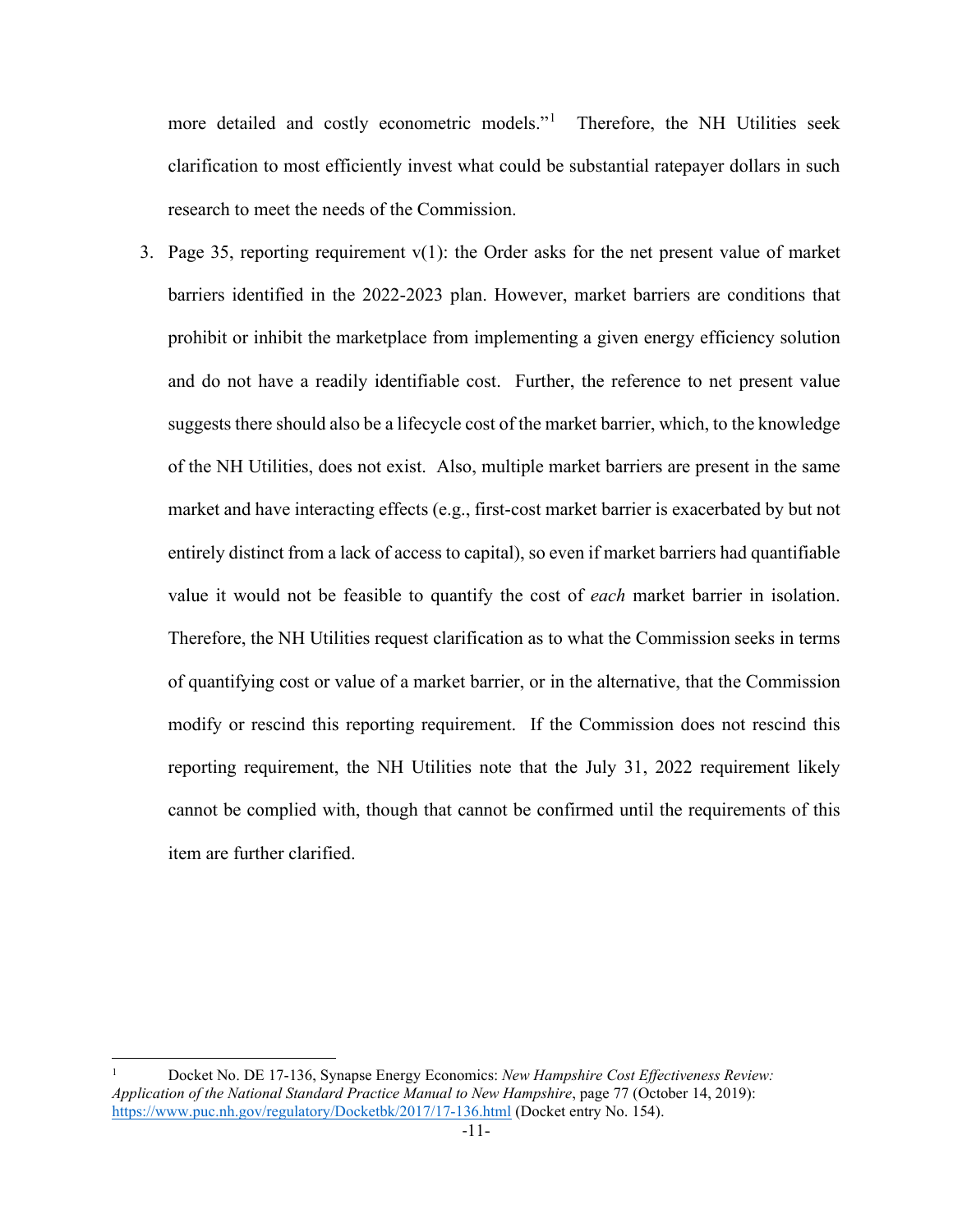more detailed and costly econometric models."<sup>[1](#page-10-0)</sup> Therefore, the NH Utilities seek clarification to most efficiently invest what could be substantial ratepayer dollars in such research to meet the needs of the Commission.

3. Page 35, reporting requirement  $v(1)$ : the Order asks for the net present value of market barriers identified in the 2022-2023 plan. However, market barriers are conditions that prohibit or inhibit the marketplace from implementing a given energy efficiency solution and do not have a readily identifiable cost. Further, the reference to net present value suggests there should also be a lifecycle cost of the market barrier, which, to the knowledge of the NH Utilities, does not exist. Also, multiple market barriers are present in the same market and have interacting effects (e.g., first-cost market barrier is exacerbated by but not entirely distinct from a lack of access to capital), so even if market barriers had quantifiable value it would not be feasible to quantify the cost of *each* market barrier in isolation. Therefore, the NH Utilities request clarification as to what the Commission seeks in terms of quantifying cost or value of a market barrier, or in the alternative, that the Commission modify or rescind this reporting requirement. If the Commission does not rescind this reporting requirement, the NH Utilities note that the July 31, 2022 requirement likely cannot be complied with, though that cannot be confirmed until the requirements of this item are further clarified.

<span id="page-10-0"></span><sup>1</sup> Docket No. DE 17-136, Synapse Energy Economics: *New Hampshire Cost Effectiveness Review: Application of the National Standard Practice Manual to New Hampshire*, page 77 (October 14, 2019): [https://www.puc.nh.gov/regulatory/Docketbk/2017/17-136.html](https://urldefense.com/v3/__https:/linkprotect.cudasvc.com/url?a=https*3a*2f*2fwww.puc.nh.gov*2fregulatory*2fDocketbk*2f2017*2f17-136.html&c=E,1,ntD1ohih9KPrAoj1ebghoNGrOJZMexgoKQo1BZujYjV-MgSIASLQUgFI3z5iIcZWaLkVVANrbLOqvEmCJW2IzGIKtcgH2t6dHeP09vN2F_A91bhM&typo=0&ancr_add=1__;JSUlJSUlJQ!!A_2VBGNDm7Y!vfSLsxltBZ0X23tdwIa8Z_vOArBU5qoNArW7_vbcpXtDPVMYMarquIwfCd7jbcEs-byd9cU5WDDD_hPLB343lhxtfQ$) (Docket entry No. 154).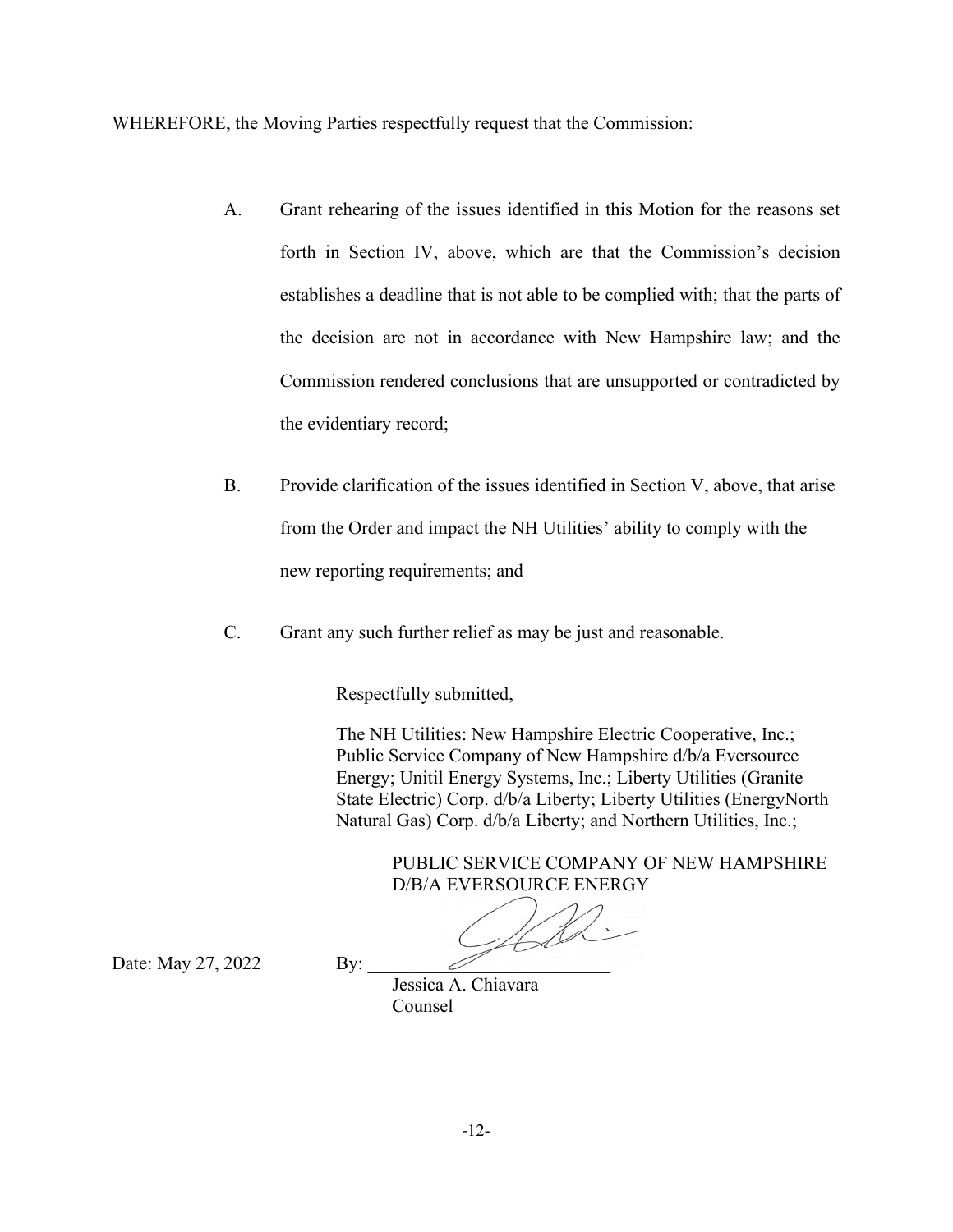WHEREFORE, the Moving Parties respectfully request that the Commission:

- A. Grant rehearing of the issues identified in this Motion for the reasons set forth in Section IV, above, which are that the Commission's decision establishes a deadline that is not able to be complied with; that the parts of the decision are not in accordance with New Hampshire law; and the Commission rendered conclusions that are unsupported or contradicted by the evidentiary record;
- B. Provide clarification of the issues identified in Section V, above, that arise from the Order and impact the NH Utilities' ability to comply with the new reporting requirements; and
- C. Grant any such further relief as may be just and reasonable.

Respectfully submitted,

The NH Utilities: New Hampshire Electric Cooperative, Inc.; Public Service Company of New Hampshire d/b/a Eversource Energy; Unitil Energy Systems, Inc.; Liberty Utilities (Granite State Electric) Corp. d/b/a Liberty; Liberty Utilities (EnergyNorth Natural Gas) Corp. d/b/a Liberty; and Northern Utilities, Inc.;

> PUBLIC SERVICE COMPANY OF NEW HAMPSHIRE D/B/A EVERSOURCE ENERGY

Date: May 27, 2022 By:

Jessica A. Chiavara Counsel